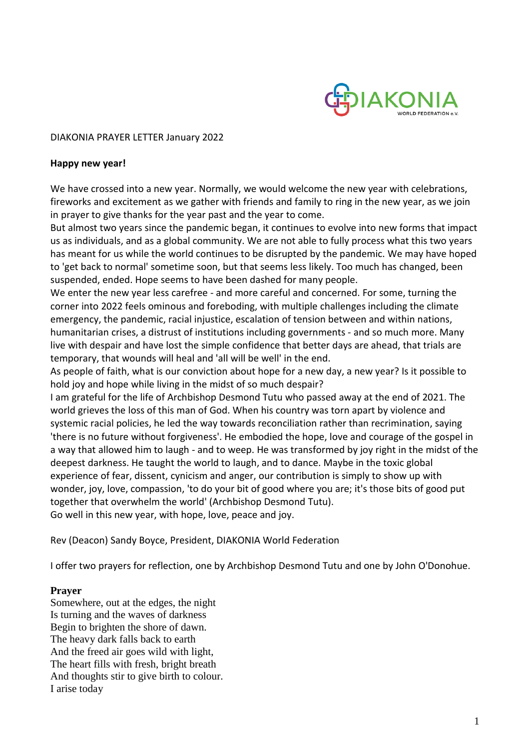

## DIAKONIA PRAYER LETTER January 2022

## **Happy new year!**

We have crossed into a new year. Normally, we would welcome the new year with celebrations, fireworks and excitement as we gather with friends and family to ring in the new year, as we join in prayer to give thanks for the year past and the year to come.

But almost two years since the pandemic began, it continues to evolve into new forms that impact us as individuals, and as a global community. We are not able to fully process what this two years has meant for us while the world continues to be disrupted by the pandemic. We may have hoped to 'get back to normal' sometime soon, but that seems less likely. Too much has changed, been suspended, ended. Hope seems to have been dashed for many people.

We enter the new year less carefree - and more careful and concerned. For some, turning the corner into 2022 feels ominous and foreboding, with multiple challenges including the climate emergency, the pandemic, racial injustice, escalation of tension between and within nations, humanitarian crises, a distrust of institutions including governments - and so much more. Many live with despair and have lost the simple confidence that better days are ahead, that trials are temporary, that wounds will heal and 'all will be well' in the end.

As people of faith, what is our conviction about hope for a new day, a new year? Is it possible to hold joy and hope while living in the midst of so much despair?

I am grateful for the life of Archbishop Desmond Tutu who passed away at the end of 2021. The world grieves the loss of this man of God. When his country was torn apart by violence and systemic racial policies, he led the way towards reconciliation rather than recrimination, saying 'there is no future without forgiveness'. He embodied the hope, love and courage of the gospel in a way that allowed him to laugh - and to weep. He was transformed by joy right in the midst of the deepest darkness. He taught the world to laugh, and to dance. Maybe in the toxic global experience of fear, dissent, cynicism and anger, our contribution is simply to show up with wonder, joy, love, compassion, 'to do your bit of good where you are; it's those bits of good put together that overwhelm the world' (Archbishop Desmond Tutu). Go well in this new year, with hope, love, peace and joy.

Rev (Deacon) Sandy Boyce, President, DIAKONIA World Federation

I offer two prayers for reflection, one by Archbishop Desmond Tutu and one by John O'Donohue.

## **Prayer**

Somewhere, out at the edges, the night Is turning and the waves of darkness Begin to brighten the shore of dawn. The heavy dark falls back to earth And the freed air goes wild with light, The heart fills with fresh, bright breath And thoughts stir to give birth to colour. I arise today